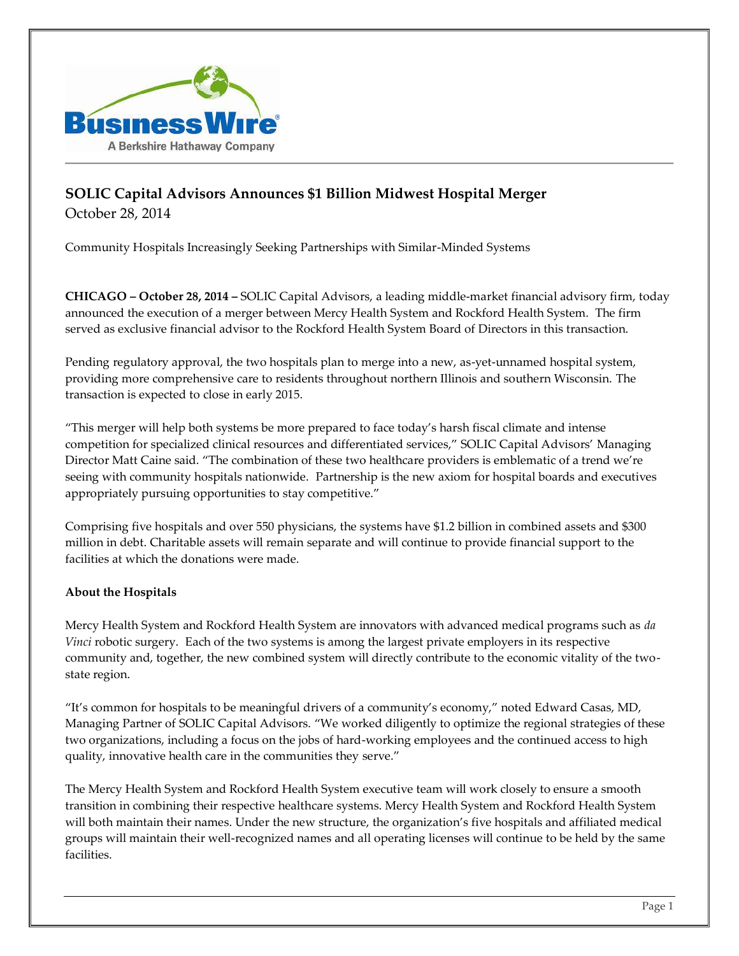

## **SOLIC Capital Advisors Announces \$1 Billion Midwest Hospital Merger** October 28, 2014

Community Hospitals Increasingly Seeking Partnerships with Similar-Minded Systems

**CHICAGO – October 28, 2014 –** SOLIC Capital Advisors, a leading middle-market financial advisory firm, today announced the execution of a merger between Mercy Health System and Rockford Health System. The firm served as exclusive financial advisor to the Rockford Health System Board of Directors in this transaction.

Pending regulatory approval, the two hospitals plan to merge into a new, as-yet-unnamed hospital system, providing more comprehensive care to residents throughout northern Illinois and southern Wisconsin. The transaction is expected to close in early 2015.

"This merger will help both systems be more prepared to face today's harsh fiscal climate and intense competition for specialized clinical resources and differentiated services," SOLIC Capital Advisors' Managing Director Matt Caine said. "The combination of these two healthcare providers is emblematic of a trend we're seeing with community hospitals nationwide. Partnership is the new axiom for hospital boards and executives appropriately pursuing opportunities to stay competitive."

Comprising five hospitals and over 550 physicians, the systems have \$1.2 billion in combined assets and \$300 million in debt. Charitable assets will remain separate and will continue to provide financial support to the facilities at which the donations were made.

## **About the Hospitals**

Mercy Health System and Rockford Health System are innovators with advanced medical programs such as *da Vinci* robotic surgery. Each of the two systems is among the largest private employers in its respective community and, together, the new combined system will directly contribute to the economic vitality of the twostate region.

"It's common for hospitals to be meaningful drivers of a community's economy," noted Edward Casas, MD, Managing Partner of SOLIC Capital Advisors. "We worked diligently to optimize the regional strategies of these two organizations, including a focus on the jobs of hard-working employees and the continued access to high quality, innovative health care in the communities they serve."

The Mercy Health System and Rockford Health System executive team will work closely to ensure a smooth transition in combining their respective healthcare systems. Mercy Health System and Rockford Health System will both maintain their names. Under the new structure, the organization's five hospitals and affiliated medical groups will maintain their well-recognized names and all operating licenses will continue to be held by the same facilities.